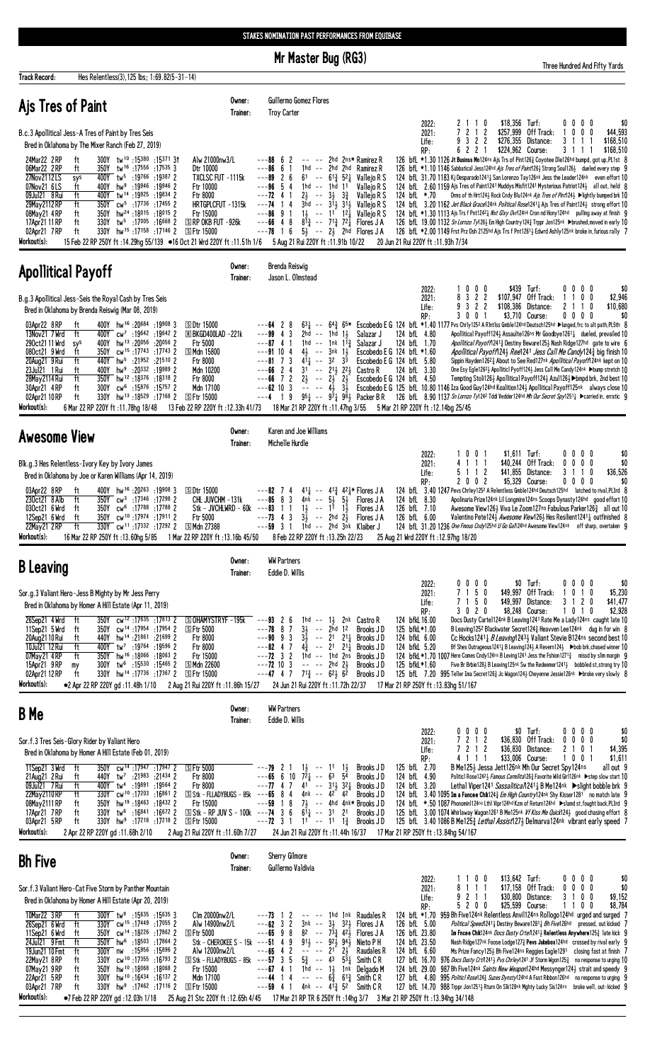Mr Master Bug (RG3)

Track Record:

Hes Relentless(3), 125 lbs; 1:69.82(5-31-14)

Three Hundred And Fifty Yards

| Ajs Tres of Paint                                                                                                                                                                                                                                                                                                                                                                                                                                                                                                                                                                                                                                                                                                                                                                                                                                                                                                                                                               | Owner:<br>Trainer:             | Guillermo Gomez Flores<br><b>Troy Carter</b><br>\$18,356 Turf:<br>\$0<br>2022:<br>2 1 1 0<br>0000                                                                                                                                                                                                                                                                                                                                                                                                                                                                                                                                                                                                                                                                                                                                                                                                                                                                                                                                                                                                                                                                                                                                                                                                                                                                                                                                                                                                                                                                                                                                                                                                                                                                                                                                                                                                                                         |
|---------------------------------------------------------------------------------------------------------------------------------------------------------------------------------------------------------------------------------------------------------------------------------------------------------------------------------------------------------------------------------------------------------------------------------------------------------------------------------------------------------------------------------------------------------------------------------------------------------------------------------------------------------------------------------------------------------------------------------------------------------------------------------------------------------------------------------------------------------------------------------------------------------------------------------------------------------------------------------|--------------------------------|-------------------------------------------------------------------------------------------------------------------------------------------------------------------------------------------------------------------------------------------------------------------------------------------------------------------------------------------------------------------------------------------------------------------------------------------------------------------------------------------------------------------------------------------------------------------------------------------------------------------------------------------------------------------------------------------------------------------------------------------------------------------------------------------------------------------------------------------------------------------------------------------------------------------------------------------------------------------------------------------------------------------------------------------------------------------------------------------------------------------------------------------------------------------------------------------------------------------------------------------------------------------------------------------------------------------------------------------------------------------------------------------------------------------------------------------------------------------------------------------------------------------------------------------------------------------------------------------------------------------------------------------------------------------------------------------------------------------------------------------------------------------------------------------------------------------------------------------------------------------------------------------------------------------------------------------|
| B.c.3 Apollitical Jess-A Tres of Paint by Tres Seis<br>Bred in Oklahoma by The Mixer Ranch (Feb 27, 2019)<br>300Y tw <sup>10</sup> :15380:1537131<br>Alw 21000nw3/L<br>24Mar22 2RP<br>ft<br>06Mar22 2RP<br>350Y tw <sup>16</sup> :17556:175353<br>Dtr 10000<br>ft<br>27Nov2112LS<br>400Y tw <sup>5</sup> :19766 :19387 2<br>TXCLSC FUT -1115k<br>sys<br>ft<br>400Y hw <sup>9</sup> :19946 :19946 2<br>07Nov21 6LS<br>Ftr 10000<br>ft<br>09Jul21 8 Rui<br>400Y tw <sup>14</sup> :19925:19834 2<br>Ftr 8000<br>29May 2112 RP<br>ft<br>350Y cw <sup>5</sup> :17 <sup>736</sup> :174552<br>HRTGPLCFUT -1315k<br>350Y hw <sup>24</sup> :18015:18015 2<br>08May21 4RP<br>ft<br>Ftr 15000<br>17Apr21 11 RP<br>ft<br>$330Y$ tw <sup>5</sup> :17005 :16668 2<br>$S$ RP OKB FUT $-926k$<br>330Y hw <sup>15</sup> :17 <sup>158</sup> :17146 2<br>02Apr21 7RP<br>ft<br>S Ftr 15000<br>Workout(s):<br>15 Feb 22 RP 250Y ft: 14.29hg 55/139 ●16 Oct 21 Wrd 220Y ft: 11.51h 1/6                |                                | 7 2 1 2<br>\$257,999 Off Track:<br>$0\ 0\ 0$<br>\$44,593<br>2021:<br>9 3 2 2<br>\$276,355 Distance:<br>3 1<br>\$168,510<br>$\overline{1}$<br>-1<br>Life:<br>6 2 2 1<br>\$224.962 Course:<br>3 1 1 1<br>\$168,510<br>RP:<br>126 bfL *1.30 1126 Jt Businss Mn124ns Ajs Trs of Pint1263 Coyotee Dle126hd bumpd, got up, PL1st 8<br>---88 6 2<br>-- -- 2hd 2ns* Ramirez R<br>126 bfL *1.10 1146 Sabbatical Jess124hd Ajs Tres of Paint126} Strong Soul126} dueled every step 9<br>---86 6<br>$1hd - -$<br>2hd 2hd Ramirez R<br>-1<br>124 bfl. 31.70 1183 Kj Desparado12411 San Lorenzo Tay126nk Jess the Leader124nk even effort 10<br>---89<br>26<br>$61 - 61\frac{3}{4} 52\frac{1}{4}$<br>Vallejo R S<br>$--96$ 5 4<br>124 bfl. 2.60 1159 Ajs Tres of Paint1241 Muddys Misfit1241 Mysterious Patriot124 <sub>2</sub> all out, held 8<br>1hd -- 1hd 11<br>Vallejo R S<br>$---72$ 4 1<br>Vallejo R S<br>Drms of th Hrt124} Rock Cndy Blu124nk Ais Tres of Pint124} ▶lightly bumped brk 10<br>$2\frac{1}{2}$ -- $3\frac{1}{2}$ $3\frac{3}{4}$<br>124 bfL *.70<br>$3\bar{h}d$ -- $3\bar{1}33\bar{1}3$ Vallejo R S<br>---74<br>14<br>124 bfl. 3.20 1162 Jet Black Grace124nk Political Rose12411 Ais Tres of Paint1241 strong effort 10<br>$1\frac{1}{2}$ -- $11^{7}$ $12\frac{1}{4}$<br>$---86$ 9 1<br>124 bfL *1.30 1113 Ajs Trs f Pnt1242 Wxt Glxy Ovr124nk Cron nd Hony124hd pulling away at finish 9<br>Valleio R S<br>$8^{1/3}$ -- $7^{1/3}$ $7^{2/3}$ Flores JA<br>$---66$ 4 8<br>126 bfL 19.00 1132 Sn Lornzo Ty126} Em High Country 124} Trppr Jon125nk >brushed, moved in early 10<br>$5\frac{1}{2}$ -- $2\frac{1}{2}$ 2hd Flores JA<br>$---78$ 1 6<br>126 bfl *2.00 1149 Frst Prz Dsh 2125hd Ajs Trs f Pnt12613 Edwrd Ashly125nk broke in, furious rally 7<br>5 Aug 21 Rui 220Y ft: 11.91b 10/22<br>20 Jun 21 Rui 220Y ft: 11.93h 7/34                                                                                                |
| <b>Apollitical Payoff</b>                                                                                                                                                                                                                                                                                                                                                                                                                                                                                                                                                                                                                                                                                                                                                                                                                                                                                                                                                       | Owner:<br>Trainer:             | Brenda Reiswig<br>Jason L. Olmstead                                                                                                                                                                                                                                                                                                                                                                                                                                                                                                                                                                                                                                                                                                                                                                                                                                                                                                                                                                                                                                                                                                                                                                                                                                                                                                                                                                                                                                                                                                                                                                                                                                                                                                                                                                                                                                                                                                       |
| B.g.3 Apollitical Jess-Seis the Royal Cash by Tres Seis<br>Bred in Oklahoma by Brenda Reiswig (Mar 08, 2019)<br>19908 3 19908 hw <sup>16</sup> :20684 19908<br><b>SDtr 15000</b><br>03Apr22 8RP<br>ft<br>400Y cw <sup>7</sup> :19642 :19642 2<br>13Nov21 7 Wrd<br>ft<br><b>E BKGD400LAD -221k</b><br>290ct21 11 Wrd<br>400Y hw <sup>13</sup> :20056 :20056 2<br><b>Ftr 5000</b><br>sys<br>350Y cw <sup>15</sup> :17743:17743 2<br>080ct21 9 Wrd<br>ft<br>S Mdn 15800<br>20Aug21 9 Rui<br>ft<br>440Y hw <sup>5</sup> :21952 :21510 2<br>Ftr 8000<br>ft<br>400Y hw <sup>9</sup> :20332 :19989 2<br>23Jul21 1 Rui<br>Mdn 10200<br>ft<br>350Y hw <sup>12</sup> :18376:18318 2<br>28May 2114 Rui<br>Ftr 8000<br>cw <sup>6</sup> :15876:157572<br>Mdn 17100<br>30Apr21 4RP<br>ft<br>300Y<br>330Y hw <sup>13</sup> :18 <sup>529</sup> :17168 2<br>02Apr21 10 RP<br>ft<br><b>SFtr 15000</b><br>Workout(s):<br>6 Mar 22 RP 220Y ft : 11.78hg 18/48<br>13 Feb 22 RP 220Y ft: 12.33h 41/73 |                                | $0\ 0\ 0$<br>\$439 Turf:<br>\$0<br>2022:<br>0000<br>8 3 2 2<br>\$107.947 Off Track:<br>1100<br>\$2,946<br>2021:<br>9 3 2 2<br>\$108,386 Distance:<br>2 1 1 0<br>\$10,680<br>Life:<br>3 0 0 1<br>\$3,710 Course:<br>$0\,0\,0\,0$<br>\$0<br>RP:<br>$63\frac{1}{4}$ -- $64\frac{3}{4}$ 65* Escobedo E G 124 bfL *1.40 1177 Pvs Chrly125 <sup>2</sup> A RIntlss Gmble124hd Deutsch125hd ▶lunged, frc to alt path, PL5th 8<br>---64 28<br>3<br>2hd<br>1hd $1\frac{1}{2}$<br>Salazar J<br>124 bfL 4.80<br>Apollitical Payoff1241 Assaulte126ns Mr Goodbye12611 dueled, prevailed 10<br>---994<br>$\sim$ $-$<br>$---87$ 4 1<br>1hd -- 1nk $1^{\overline{1}\frac{3}{4}}$ Salazar J<br>124 bfL 1.70<br>Apollitical Payoff12413 Destiny Beware1253 Nash Ridge127hd gate to wire 6<br>$4\frac{1}{2}$ -- $3nk$ $1\frac{1}{2}$<br>$---91104$<br>Escobedo E G 124 bfL *1.60<br>Apollitical Payoff\24} Ree\241 Jess Call Me Candy\24} big finish 10<br>$--81$ 7 3<br>$4^{11}$ -- 32 3 <sup>3</sup><br>Escobedo E G 124 bfL 5.80<br>Sippin Hayden12623 About to See Red127nk Apollitical Payoff124nk kept on 10<br>$---66$ 2 4<br>$31 - 21\frac{1}{2}$ $22\frac{1}{2}$ Castro R<br>One Esy Egle126 <sup>2</sup> } Apolliticl Pyoff124 } Jess Call Me Candy124 <sup>nk</sup> ▶bump stretch 10<br>124 bfL 3.30<br>$---66$ 7 2<br>$2\frac{1}{2}$ -- $2\frac{1}{2}$ $2\frac{1}{2}$<br>Escobedo E G 124 bfL 4.50<br>Tempting Stoli126} Apollitical Payoff124} Azul126} > bmpd brk, 2nd best 10<br>44 Hz<br>3<br>41<br>$3\frac{1}{2}$<br>Escobedo E G 125 bfL 10.80 1146 Iza Good Guy124hd Koalition1243 Apollitical Payoff125nk always close 10<br>$---62$ 10<br>$95\frac{1}{4}$ - $97\frac{1}{4}$ $98\frac{1}{2}$ Packer B R 126 bfl 8.90 1137 <i>Sn Lornzo Ty</i> 124 <sup>2</sup> Tddi Vedder124hd <i>Mh Our Secret Spy</i> 1251 <sub>4</sub> ► carried in, erratic 9<br>$---4$ 19<br>18 Mar 21 RP 220Y ft: 11.47hg 3/55 5 Mar 21 RP 220Y ft: 12.14bg 25/45 |
| <b>Awesome View</b>                                                                                                                                                                                                                                                                                                                                                                                                                                                                                                                                                                                                                                                                                                                                                                                                                                                                                                                                                             | Owner:<br>Trainer:             | Karen and Joe Williams<br>Michelle Hurdle                                                                                                                                                                                                                                                                                                                                                                                                                                                                                                                                                                                                                                                                                                                                                                                                                                                                                                                                                                                                                                                                                                                                                                                                                                                                                                                                                                                                                                                                                                                                                                                                                                                                                                                                                                                                                                                                                                 |
| Blk.g.3 Hes Relentless-Ivory Key by Ivory James<br>Bred in Oklahoma by Joe or Karen Williams (Apr 14, 2019)<br>400Y hw <sup>16</sup> :20263:199083<br>03Apr22 8RP<br><b>SDtr 15000</b><br>ft<br>230ct21 8 Alb<br>ft<br>$350Y$ cw <sup>3</sup> :17346 :17298 2<br>CHL JUVCHM -131k<br>030ct21 6 Wrd<br>350Y cw <sup>6</sup> :17788:17788 2<br>ft<br>350Y cw <sup>10</sup> :17974:179112<br>12Sep21 6 Wrd<br>ft<br>Ftr 5000<br>330Y cw <sup>11</sup> :17332 :17292 2<br>22May21 2RP<br>ft<br><b>SIMdn 27388</b><br>Workout(s):<br>16 Mar 22 RP 250Y ft: 13.60hg 5/85<br>1 Mar 22 RP 220Y ft :13.16b 45/50                                                                                                                                                                                                                                                                                                                                                                         | Stk - JVCHLWRD - 60k ---83 1 1 | $$1,611$ Turf:<br>1001<br>0000<br>2022:<br>\$0<br>4 1 1 1<br>\$40,244 Off Track:<br>$0\ 0\ 0\ 0$<br>2021:<br>\$0<br>\$41,855 Distance:<br>3 1 1 0<br>\$36,526<br>5 1 1 2<br>Life:<br>2 0 0 2<br>\$5,329 Course:<br>$0\,0\,0\,0$<br>\$0<br>RP:<br>411 -- 41 <sup>3</sup> 42 <sup>1</sup> Flores J A<br>124 bfl 3.40 1247 Pevs Chriey 1252 A Relentless Gmble124hd Deutsch125hd latched to rival, PL3rd 8<br>$---82$ 7 4<br>$---85$ 8 3<br>$Ans - 53$<br>Apolinaria Prize124nk Lil Longmire124ns Scoops Dynasty124hd good effort 10<br>54<br>Flores J A<br>124 bfL 8.30<br>$1\frac{1}{2}$ -- $1\frac{1}{2}$<br>126 bfL 7.10<br>$1\frac{1}{2}$<br>Flores J A<br>Awesome View126 $\frac{1}{2}$ Viva Le Zoom127ns Fabulous Parker126 $\frac{3}{4}$ all out 10<br>$---73$ 4 3<br>$3\frac{1}{2}$ -- 2hd $2\frac{1}{2}$<br>126 bfL 6.00<br>Valentino Pete124} Awesome View126} Hes Resilient1241} outfinished 8<br>Flores J A<br>124 bfl 31.20 1236 One Fmous Cndy125hd U Go Gan24hd Awesome View124nk off sharp, overtaken 9<br>---59<br>3<br>1hd -- 2hd 3nk Klaiber J<br>8 Feb 22 RP 220Y ft: 13.25h 22/23<br>25 Aug 21 Wrd 220Y ft: 12.97hg 18/20                                                                                                                                                                                                                                                                                                                                                                                                                                                                                                                                                                                                                                                                                                                                                                                              |
| <b>B</b> Leaving                                                                                                                                                                                                                                                                                                                                                                                                                                                                                                                                                                                                                                                                                                                                                                                                                                                                                                                                                                | Owner:<br>Trainer:             | <b>WW Partners</b><br>Eddie D. Willis<br>$$0$ Turf:<br>\$0<br>$0\,0\,0\,0$                                                                                                                                                                                                                                                                                                                                                                                                                                                                                                                                                                                                                                                                                                                                                                                                                                                                                                                                                                                                                                                                                                                                                                                                                                                                                                                                                                                                                                                                                                                                                                                                                                                                                                                                                                                                                                                                |
| Sor.g.3 Valiant Hero-Jess B Mighty by Mr Jess Perry                                                                                                                                                                                                                                                                                                                                                                                                                                                                                                                                                                                                                                                                                                                                                                                                                                                                                                                             |                                |                                                                                                                                                                                                                                                                                                                                                                                                                                                                                                                                                                                                                                                                                                                                                                                                                                                                                                                                                                                                                                                                                                                                                                                                                                                                                                                                                                                                                                                                                                                                                                                                                                                                                                                                                                                                                                                                                                                                           |
| Bred in Oklahoma by Homer A Hill Estate (Apr 11, 2019)<br>350Y cw <sup>12</sup> :17835:178132<br>26Sep21 4 Wrd ft<br><b>SOHAMYSTRYF-195k</b><br>11Sep21 5 Wrd<br>ft<br>350Y<br>cw <sup>14</sup> :17954:179542<br><b>SFtr 5000</b><br>ft<br>20Aug2110 Rui<br>2 1699 1:21861 140Y hw <sup>14</sup><br>Ftr 8000<br>10Jul21 12 Rui<br>Ftr 8000<br>ft<br>19596 2.19764 19596 2<br>350Y hw <sup>16</sup> :18066:180632<br>Ftr 15000<br>07May21 4RP<br>ft<br>S Mdn 22600<br>15Apr21 9RP<br>$300Y$ tw <sup>6</sup> :15530 :15465 2<br>my<br>02Apr21 12 RP<br>ft<br>330Y hw <sup>14</sup> :17 <sup>736</sup> :17 <sup>367</sup> 2<br><b>SFtr 15000</b><br>Workout(s):<br>2 Aug 21 Rui 220Y ft: 11.86h 15/27<br>●2 Apr 22 RP 220Y gd:11.48h 1/10                                                                                                                                                                                                                                          |                                | $0\,0\,0\,0$<br>2022:<br>7 1 5 0<br>\$49,997 Off Track:<br>\$5,230<br>2021:<br>0 1 0<br>$\overline{1}$<br>3 1 2 0<br>7 1 5 0<br>\$49,997 Distance:<br>\$41,477<br>Life:<br>3 0 2 0<br>\$8,248 Course:<br>0 <sub>1</sub><br>\$2,928<br>RP:<br>1<br>0<br>1hd -- $1\frac{1}{2}$<br>2nk Castro R<br>124 bfkL 16.00<br>Docs Dusty Cartel124nk B Leaving1241 Rate Me a Lady124ns caught late 10<br>$---93$ 2 6<br>$---78$ 8 7<br>B Leaving 1252 Blackwater Secret 1243 Heavven Lee 124nk dug in for win 8<br>$3\frac{1}{2}$ -- 2hd<br>1 <sup>2</sup><br>Brooks JD<br>125 bfkL*1.00<br>$---90 9 3$<br>$3\overline{1}$<br>$-- 21$<br>$2^{11}$<br>124 bfkL 6.00<br>Brooks J D<br>Cc Hocks1241 B Leaving1243 Valiant Stevie B124ns second best 10<br>$4\frac{3}{4}$ -- 21 21 $\frac{1}{4}$<br>$---82$ 4 7<br>124 bfkL 5.20<br>Brooks J D<br>Bf Shes Outrageous1241 $\frac{1}{4}$ B Leaving124 $\frac{1}{2}$ A Revern124 $\frac{1}{2}$ $\blacktriangleright$ bob brk, chased winner 10<br>$---72$ 3 2<br>124 bfkL *1.70 1007 Here Comes Cndy124ns B Leving1241 Jess the Fshion12713 missd by slim margin 9<br>1hd -- 1hd 2ns<br>Brooks JD<br>$---72$ 10 3<br>$---$ 2hd $2\frac{1}{2}$<br>125 bfkL*1.60<br>Five Br Brbie128 $\frac{1}{2}$ B Leaving125nk Sw the Redeemer1241 $\frac{1}{2}$ bobbled st, strong try 10<br>Brooks JD<br>$---47$ 4 7 $71\frac{3}{4}$ $--- 62\frac{1}{2}$ $6\frac{2}{1}$<br>Brooks JD<br>125 bfL 7.20 995 Teller Ima Secret126 <sup>3</sup> Jc Wagon124 <sup>3</sup> Cheyenne Jessie126nk ▶broke very slowly 8<br>24 Jun 21 Rui 220Y ft : 11.72h 22/37<br>17 Mar 21 RP 250Y ft: 13.83hg 51/167                                                                                                                                                                                                                                                                                                                             |
| <b>B</b> Me                                                                                                                                                                                                                                                                                                                                                                                                                                                                                                                                                                                                                                                                                                                                                                                                                                                                                                                                                                     | Owner:<br>Trainer:             | <b>WW Partners</b><br>Eddie D. Willis                                                                                                                                                                                                                                                                                                                                                                                                                                                                                                                                                                                                                                                                                                                                                                                                                                                                                                                                                                                                                                                                                                                                                                                                                                                                                                                                                                                                                                                                                                                                                                                                                                                                                                                                                                                                                                                                                                     |
| Sor.f.3 Tres Seis-Glory Rider by Valiant Hero<br>Bred in Oklahoma by Homer A Hill Estate (Feb 01, 2019)<br>350Y<br>cw <sup>14</sup> :17947:179472<br>11Sep21 3 Wrd<br>ft<br><b>SFtr 5000</b><br>21Aug21 2 Rui<br>ft<br>440Y tw <sup>7</sup> :21983 :21434 2<br>Ftr 8000<br>09Jul21 7 Rui<br>ft<br>19564 2 19891 19564<br>Ftr 8000<br>22May 2110 RP<br>330Y cw <sup>10</sup> :17 <sup>203</sup> :16861 2<br>S Stk - FLLADYBUGS - 85k<br>ft<br>08May 2111 RP<br>350Y hw <sup>19</sup> :18463 :18432 2<br>ft<br>Ftr 15000<br>17Apr21 7RP<br>ft<br>tw <sup>6</sup> :16 <sup>841</sup> :16 <sup>672</sup> 2<br>$S$ Stk - RP JUV S - 100k ---74 3 6<br>330Y<br>03Apr21 5 RP<br>ft<br>330Y hw <sup>9</sup> :17 <sup>218</sup> :17 <sup>218</sup> 2<br><b>SFtr 15000</b><br>Workout(s):<br>2 Apr 22 RP 220Y gd:11.68h 2/10<br>2 Aug 21 Rui 220Y ft: 11.60h 7/27                                                                                                                         |                                | $0\ 0\ 0\ 0$<br>$$0$ Turf:<br>$0\,0\,0\,0$<br>\$0<br>2022:<br>7 2 1 2<br>$0\quad 0\quad 0$<br>\$36,830 Off Track:<br>$\mathbf{0}$<br>\$0<br>2021:<br>7 2 1 2<br>2 1 0 1<br>\$4,395<br>\$36,830 Distance:<br>Life:<br>\$33,006 Course:<br>\$1,611<br>4 1 1 1<br>1001<br>RP:<br>Brooks JD<br>125 bfL 2.70<br>B Me1253 Jessa Jett126nk Mh Our Secret Spy124ns<br>$1\frac{1}{2}$<br>all out 9<br>$---79$ 2<br>$1\frac{1}{2}$ -- 11<br>$7\overline{2}_4$ --<br>$---65$ 6 10<br>6 <sup>3</sup><br>$5^{\overline{4}}$<br>Brooks JD<br>124 bfL 4.90<br>Politicl Rose1242} Famous Carmilita126} Favorite Wild Girl126nk ▶step slow start 10<br>$41 - - 31\frac{1}{2}32\frac{1}{4}$<br>$---77$ 4 7<br>Lethal Viper1241 Sassalitica/12411 B Me124nk ▶ slight bobble brk 9<br>124 bfL 3.20<br>Brooks J D<br>$--65$ 8 4<br>4nk -- 42 42<br>Brooks JD<br>124 bfl 3.40 1095 Im a Fancee Chik1243 <i>Em High Country</i> 124nk Shy Kisser1281 no match late 9<br>$---59$ 1 8<br>$7\frac{1}{2}$ -- 4hd 4nk* Brooks JD<br>124 bfL *.50 1087 Phonomin1124ns Lthl Vipr124hd Kzm of Return124hd >slamd st, fought back, PL3rd 9<br>$6^{11}$ -- 31<br>2 <sup>1</sup><br>Brooks JD<br>125 bfl. 3.00 1074 Whirlaway Wagon1261 B Me125nk Vf Kiss Me Quick1243 good chasing effort 8<br>$---72$ 3 1 1 <sup>1</sup> $---$ 11<br>125 bfl. 3.40 1086 B Me125 <sup>3</sup> Lethal Assist1273 Delmarva124nk vibrant early speed 7<br>$1\frac{3}{4}$<br>Brooks J D<br>17 Mar 21 RP 250Y ft: 13.84hg 54/167<br>24 Jun 21 Rui 220Y ft : 11.44h 16/37                                                                                                                                                                                                                                                                                                                                                                                                                        |
| <b>Bh Five</b>                                                                                                                                                                                                                                                                                                                                                                                                                                                                                                                                                                                                                                                                                                                                                                                                                                                                                                                                                                  | Owner:<br>Trainer:             | Sherry Gilmore<br>Guillermo Valdivia<br>\$13,642 Turf:<br>1 1 0 0<br>0000<br>\$0<br>2022:                                                                                                                                                                                                                                                                                                                                                                                                                                                                                                                                                                                                                                                                                                                                                                                                                                                                                                                                                                                                                                                                                                                                                                                                                                                                                                                                                                                                                                                                                                                                                                                                                                                                                                                                                                                                                                                 |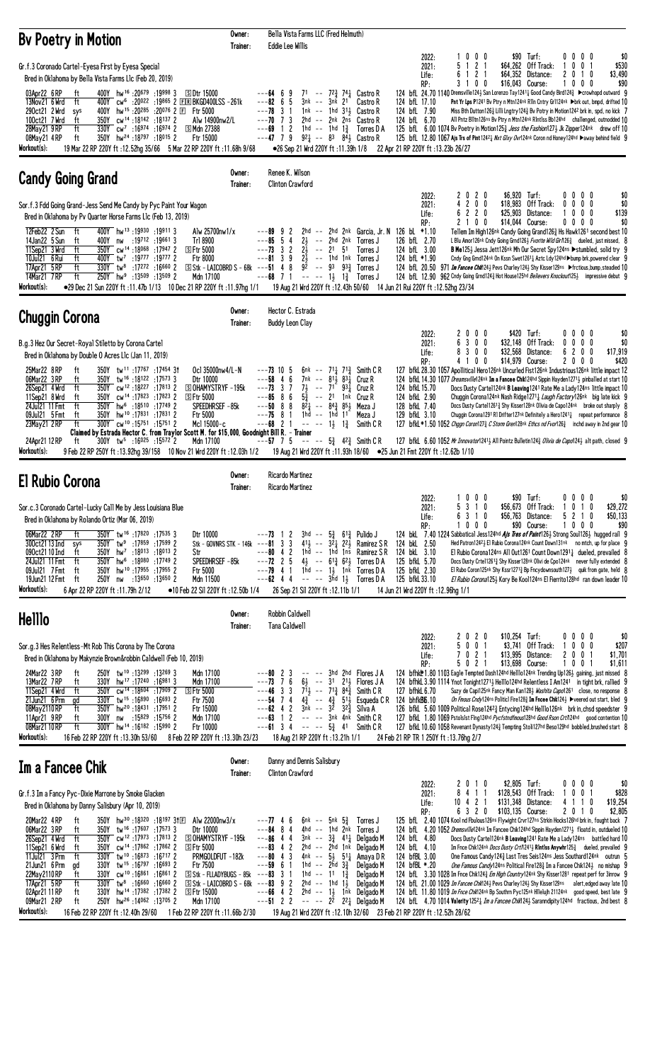| <b>By Poetry in Motion</b>                                                                                                                                                                                                                                                                                                                                                                                                                                                                                                                                                                                                                                                                                                                                                                                                                                                                                                                                                                                                                                                                                                                           | Owner:<br>Trainer: |                                                                                                                                | Eddie Lee Willis                                   | Bella Vista Farms LLC (Fred Helmuth)                   |                                                                                                                                                                                                        |                                                                                                                                                                                                                                                                                               |                                                                                                                                                                             |                                |                                                |                                                                                                                                                                                                                                                                                                                                                                                                                                                                                                                                                                                                                                                                                                                                                                                                                                                                                                                                                                                                                              |                                                                              |              |                                                   |                                     |
|------------------------------------------------------------------------------------------------------------------------------------------------------------------------------------------------------------------------------------------------------------------------------------------------------------------------------------------------------------------------------------------------------------------------------------------------------------------------------------------------------------------------------------------------------------------------------------------------------------------------------------------------------------------------------------------------------------------------------------------------------------------------------------------------------------------------------------------------------------------------------------------------------------------------------------------------------------------------------------------------------------------------------------------------------------------------------------------------------------------------------------------------------|--------------------|--------------------------------------------------------------------------------------------------------------------------------|----------------------------------------------------|--------------------------------------------------------|--------------------------------------------------------------------------------------------------------------------------------------------------------------------------------------------------------|-----------------------------------------------------------------------------------------------------------------------------------------------------------------------------------------------------------------------------------------------------------------------------------------------|-----------------------------------------------------------------------------------------------------------------------------------------------------------------------------|--------------------------------|------------------------------------------------|------------------------------------------------------------------------------------------------------------------------------------------------------------------------------------------------------------------------------------------------------------------------------------------------------------------------------------------------------------------------------------------------------------------------------------------------------------------------------------------------------------------------------------------------------------------------------------------------------------------------------------------------------------------------------------------------------------------------------------------------------------------------------------------------------------------------------------------------------------------------------------------------------------------------------------------------------------------------------------------------------------------------------|------------------------------------------------------------------------------|--------------|---------------------------------------------------|-------------------------------------|
| Gr.f.3 Coronado Cartel-Eyesa First by Eyesa Special<br>Bred in Oklahoma by Bella Vista Farms Llc (Feb 20, 2019)<br>19998 3 19998 hw <sup>16</sup> :20679 19998<br>03Apr22 6 RP<br>ft<br>SDtr 15000<br>13Nov21 6 Wrd<br>ft<br>400Y cw <sup>6</sup> :20 <sup>022</sup> :19865 2 EIRIBKGD400LSS -261k<br>400Y hw <sup>15</sup> :20 <sup>285</sup> :20 <sup>076</sup> 2 E<br>290ct21 2 Wrd<br>Ftr 5000<br>sys<br>350Y cw <sup>14</sup> :18142:18137 2<br>100ct21 7 Wrd<br>ft<br>Alw 14900nw2/L<br>330Y cw <sup>7</sup> :16974 :16974 2<br>28May21 9RP<br>ft<br>S Mdn 27388<br>350Y hw <sup>24</sup> :18797 :18015 2<br>Ftr 15000<br>08May21 4RP<br>ft                                                                                                                                                                                                                                                                                                                                                                                                                                                                                                    |                    | $---64$ 6 9<br>$---826$<br>$---78$ 3 1<br>$---70$ 7 3<br>---69                                                                 | 5<br>1 <sub>2</sub>                                |                                                        | 3nk -- 3nk 21                                                                                                                                                                                          | 71 -- 72 <sup>3</sup> / <sub>74</sub> Castro R<br>Castro R<br>1nk -- 1hd $3^{11}$ Castro R<br>2hd -- 2nk 2ns Castro R<br>1hd $-$ 1hd 1 $\frac{3}{4}$ Torres D A<br>$---47$ 7 9 $9^2\frac{1}{4}$ $---$ 8 <sup>3</sup> 8 <sup>4</sup> $\frac{1}{2}$ Castro R                                    | 124 bfL 17.10<br>124 bfL 7.90<br>124 bfL 6.70                                                                                                                               | 2022:<br>2021:<br>Life:<br>RP: | 1000<br>5 1 2 1<br>6 1 2 1<br>3 1 0 0          | 124 bfL 24.70 1140 Dremsville124½ San Lorenzo Tay1241½ Good Candy Bird124½ ▶crowhopd outward 9<br>Pnt Yr Lps P1241 By Ptry n Mtn124nk R1In Cntry Gr1124nk >brk out, bmpd, drifted 10<br>Miss Bth Dutton1263 Lilli Lngtry1243 Bv Potry in Motion1242 brk in, spd, no kick 7<br>All Pntz Blltn126ns Bv Ptry n Mtn124nk Rintlss Bb124hd challenged, outnodded 10<br>125 bfl 6.00 1074 Bv Poetry in Motion1253 Jess the Fashion1273 Jk Zipper124nk drew off 10<br>125 bfL 12.80 1067 Ajs Trs of Pint 1242} Nxt Glxy Ovr124nk Coron nd Honey124hd ▶away behind field 9                                                                                                                                                                                                                                                                                                                                                                                                                                                            | \$90 Turf:<br>\$64,262 Off Track:<br>\$64,352 Distance:<br>\$16.043 Course:  | 1<br>$^{2}$  | $0\,0\,0\,0$<br>$0 \t0 \t1$<br>0 1 0<br>$0\ 0\ 0$ | \$0<br>\$530<br>\$3,490<br>\$90     |
| Workout(s):<br>19 Mar 22 RP 220Y ft: 12.52hg 35/66 5 Mar 22 RP 220Y ft: 11.68h 9/68                                                                                                                                                                                                                                                                                                                                                                                                                                                                                                                                                                                                                                                                                                                                                                                                                                                                                                                                                                                                                                                                  | Owner:             |                                                                                                                                | Renee K. Wilson                                    |                                                        | •26 Sep 21 Wrd 220Y ft :11.39h 1/8                                                                                                                                                                     |                                                                                                                                                                                                                                                                                               | 22 Apr 21 RP 220Y ft: 13.23b 26/27                                                                                                                                          |                                |                                                |                                                                                                                                                                                                                                                                                                                                                                                                                                                                                                                                                                                                                                                                                                                                                                                                                                                                                                                                                                                                                              |                                                                              |              |                                                   |                                     |
| <b>Candy Going Grand</b><br>Sor.f.3 Fdd Going Grand-Jess Send Me Candy by Pyc Paint Your Wagon                                                                                                                                                                                                                                                                                                                                                                                                                                                                                                                                                                                                                                                                                                                                                                                                                                                                                                                                                                                                                                                       | Trainer:           |                                                                                                                                | <b>Clinton Crawford</b>                            |                                                        |                                                                                                                                                                                                        |                                                                                                                                                                                                                                                                                               |                                                                                                                                                                             | 2022:<br>2021:                 | 2020<br>4 2 0 0                                | \$6,920 Turf:                                                                                                                                                                                                                                                                                                                                                                                                                                                                                                                                                                                                                                                                                                                                                                                                                                                                                                                                                                                                                | \$18,983 Off Track:                                                          |              | $0\,0\,0\,0$<br>$0\,0\,0\,0$                      | \$0<br>\$0                          |
| Bred in Oklahoma by Pv Quarter Horse Farms L1c (Feb 13, 2019)<br>400Y hw <sup>13</sup> :19930 :19911 3<br>12Feb22 2 Sun<br>ft<br>Alw 25700nw1/x<br>14Jan22 5 Sun<br>400Y nw :19712 :19661 3<br>ft<br>Tr1 8900<br>11Sep21 3 Wrd<br>ft<br>350Y cw <sup>14</sup> :18068 :17947 2<br><b>SFtr 5000</b><br>10Jul21 6 Rui<br>ft<br>19777 : 19777 19777 2<br>Ftr 8000<br>17Apr21 5RP<br>330Y tw <sup>8</sup> :17272 :16660 2<br>ft<br>$S$ Stk - LAICOBRD S - 68k<br>250Y hw <sup>9</sup> :13509 :13509 2<br>ft<br>Mdn 17100<br>14Mar21 7 RP<br>Workout(s):<br>•29 Dec 21 Sun 220Y ft :11.47b 1/13  10 Dec 21 RP 220Y ft :11.97hg 1/1                                                                                                                                                                                                                                                                                                                                                                                                                                                                                                                         |                    | ---85<br>$---73$ 3 2<br>$---8139$<br>$---51$ 4 8                                                                               | 9<br>-2<br>54                                      | $2\frac{1}{2}$<br>$2\frac{1}{2}$<br>$2\frac{1}{2}$     | $--$ 21 51<br>-- 1hd 1nk<br>$---68$ 7 1 -- -- 1 $\frac{1}{2}$ 1 $\frac{3}{4}$                                                                                                                          | -- 2hd 2nk Torres J<br>Torres J<br>Torres J<br>$\frac{1}{9^2}$ -- 93 93 <sup>3</sup> / <sub>4</sub> Torres J<br>Torres J                                                                                                                                                                      | 2hd $--$ 2hd 2nk Garcia, Jr. N 126 bl. $*1.10$<br>126 bfL 2.70<br>124 bfL 3.00<br>124 bfL *1.90<br>19 Aug 21 Wrd 220Y ft: 12.43h 50/60 14 Jun 21 Rui 220Y ft: 12.52hg 23/34 | Life:<br>RP:                   | 6220<br>2 1 0 0                                | Tellem Im High126nk Candy Going Grand1263 Hs Hawk1261 second best 10<br>L Blu Amor126nk Cndy Going Grnd1263 Fvorite Wild Girl1263 dueled, just missed, 8<br>B Me1253 Jessa Jett126nk Mh Our Secret Spy124ns > stumbled, solid try 9<br>Cndy Gng Grnd124nk On Kssn Swet12611 Aztc Ldy124hd >bump brk, powered clear 9<br>124 bfl. 20.50 971 <i>Im Fancee Chik</i> 1243 Pevs Charley 1243 Shy Kisser129ns Frictious, bump, steadied 10<br>124 bfL 12.90 962 Cndy Going Grnd1243 Hot House125hd Believers Knockout1253 impressive debut 9                                                                                                                                                                                                                                                                                                                                                                                                                                                                                       | \$25,903 Distance:<br>\$14,044 Course:                                       |              | $0\ 0\ 0$<br>$0\,0\,0\,0$                         | \$139<br>\$0                        |
| <b>Chuggin Corona</b>                                                                                                                                                                                                                                                                                                                                                                                                                                                                                                                                                                                                                                                                                                                                                                                                                                                                                                                                                                                                                                                                                                                                | Owner:<br>Trainer: |                                                                                                                                | Hector C. Estrada<br><b>Buddy Leon Clay</b>        |                                                        |                                                                                                                                                                                                        |                                                                                                                                                                                                                                                                                               |                                                                                                                                                                             |                                |                                                |                                                                                                                                                                                                                                                                                                                                                                                                                                                                                                                                                                                                                                                                                                                                                                                                                                                                                                                                                                                                                              |                                                                              |              |                                                   |                                     |
| B.g.3 Hez Our Secret-Royal Stiletto by Corona Cartel<br>Bred in Oklahoma by Double O Acres Llc (Jan 11, 2019)<br>25Mar22 8RP<br>ft<br>350Y tw <sup>11</sup> :17767:17454 31<br>Ocl 35000nw4/L-N<br>ft<br>350Y tw <sup>16</sup> :18122:175733<br>06Mar22 3 RP<br>Dtr 10000<br>26Sep21 4 Wrd<br>350Y cw <sup>12</sup> :18227:17813 2<br><b>SOHAMYSTRYF-195k</b><br>ft<br>11Sep21 8 Wrd<br>350Y cw <sup>14</sup> :17823 :17823 2<br>ft<br>$S$ Ftr 5000<br>24Jul21 11 Fmt<br>ft<br>350Y hw <sup>6</sup> :18510 :17749 2<br>SPEEDHRSEF-85k<br>350Y hw <sup>10</sup> :17831 :17831 2<br>09Jul21 5 Fmt<br>Ftr 5000<br>ft<br>300Y cw <sup>10</sup> :15751 :15751 2<br>Mcl 15000-c<br>23May21 2RP<br>ft<br>Claimed by Estrada Hector C. from Traylor Scott M. for \$15,000, Goodnight Bill R. - Trainer<br>24Apr21 12 RP<br>$300Y$ tw <sup>5</sup> :16025 :15572 2<br>Mdn 17100<br>ft<br>Workout(s):<br>9 Feb 22 RP 250Y ft :13.92hg 39/158 10 Nov 21 Wrd 220Y ft :12.03h 1/2                                                                                                                                                                                 |                    | $---73$ 10 5<br>$---58$ 4 6<br>---73<br>$---85$ 8 6<br>$---50 88$<br>$---75$ 8 1<br>$---68$ 2 1<br>$--57$ 7 5                  | 3 <sub>7</sub>                                     | $7\frac{1}{2}$<br>$5\frac{5}{4}$<br>$--- 1\frac{1}{2}$ | 6nk -- 711 713<br>7nk -- 813 831<br>$- - 71$ $93\frac{1}{4}$<br>$--$ 21 1nk<br>$82\frac{1}{4}$ -- $84\frac{3}{4}$ $85\frac{1}{2}$<br>1hd -- 1hd 11 <sup>-</sup><br>$1\frac{3}{4}$                      | Smith C R<br>Cruz R<br>Cruz R<br>Cruz R<br>Meza J<br>Meza J<br>Smith C R<br>$--- 5^3_4 4^2_4 5$ Smith C R                                                                                                                                                                                     | 124 bfkL 15.70<br>124 bfkL 2.90<br>128 bfkL 7.40<br>129 bfkL 3.10<br>19 Aug 21 Wrd 220Y ft :11.93h 18/60 ● 25 Jun 21 Fmt 220Y ft :12.62b 1/10                               | 2022:<br>2021:<br>Life:<br>RP: | 2000<br>6 3 0 0<br>8300<br>4 1 0 0             | 127 bfkL 28.30 1057 Apollitical Hero126nk Uncurled Fist126nk Industrious126nk little impact 12<br>124 bfkl 14.30 1077 Dreamsville124nk Im a Fancee Chik124hd Sippin Hayden12713 pinballed at start 10<br>Docs Dusty Cartel124nk B Leaving1241 Rate Me a Lady124ns little impact 10<br>Chuggin Corona124nk Nash Ridge12711 Laugh Factory126nk big late kick 9<br>Docs Dusty Cartel12613 Shy Kisser128nk Olivia de Capo124nk broke out sharply 8<br>Chuggin Corona1291 R1 Drifter127nk Definitely a Hero1241 $\frac{1}{4}$ repeat performance 8<br>127 bfkL *1.50 1052 Chggn Coron1273 C Storm Gren128nk Ethcs nd Fvor1263 inchd away in 2nd gear 10<br>127 bfkl 6.60 1052 Mr Innovator12413 All Pointz Bulletin1243 Olivia de Capo1243 alt path, closed 9                                                                                                                                                                                                                                                                     | \$420 Turf:<br>\$32,148 Off Track:<br>\$32,568 Distance:<br>\$14,979 Course: |              | $0\,0\,0\,0$<br>$0\ 0\ 0\ 0$<br>6200<br>2 0 0 0   | \$0<br>\$0<br>\$17,919<br>\$420     |
| <b>El Rubio Corona</b>                                                                                                                                                                                                                                                                                                                                                                                                                                                                                                                                                                                                                                                                                                                                                                                                                                                                                                                                                                                                                                                                                                                               | Owner:<br>Trainer: |                                                                                                                                | <b>Ricardo Martinez</b><br><b>Ricardo Martinez</b> |                                                        |                                                                                                                                                                                                        |                                                                                                                                                                                                                                                                                               |                                                                                                                                                                             |                                |                                                |                                                                                                                                                                                                                                                                                                                                                                                                                                                                                                                                                                                                                                                                                                                                                                                                                                                                                                                                                                                                                              |                                                                              |              |                                                   |                                     |
| Sor.c.3 Coronado Cartel-Lucky Call Me by Jess Louisiana Blue<br>Bred in Oklahoma by Rolando Ortiz (Mar 06, 2019)<br>06Mar22 2RP<br>350Y tw <sup>16</sup> :17820 :17535 3<br>ft<br>Dtr 10000<br>Stk - GOVNRS STK - 146 $k$ ---81 3 3<br>300ct21 13 Ind<br>$350Y$ tw <sup>9</sup> :17859 :17599 2<br>sys<br>090ct21 10 Ind<br>ft<br>350Y hw <sup>7</sup> :18013 :18013 2<br>Str<br>24Jul21 11 Fmt<br>350Y hw <sup>6</sup> :18080 :17749 2<br>SPEEDHRSEF-85k<br>ft<br>350Y hw <sup>10</sup> :17955 :17955 2<br>09Jul21 7Fmt<br>ft<br><b>Ftr 5000</b><br>19Jun21 12 Fmt<br>250Y nw<br>:13650 :13650 2<br>Mdn 11500<br>ft<br>Workout(s):<br>6 Apr 22 RP 220Y ft:11.79h 2/12<br>●10 Feb 22 Sil 220Y ft:12.50b 1/4                                                                                                                                                                                                                                                                                                                                                                                                                                          |                    | ---73 1<br>$---80 4 2$<br>$--72$ 2 5<br>---79<br>$--62$ 4 4                                                                    | 2<br>4 1                                           |                                                        | $41\frac{1}{2}$ -- $32\frac{1}{4}$ $22\frac{1}{2}$<br>26 Sep 21 Sil 220Y ft: 12.11b 1/1                                                                                                                | $3hd - - 5\frac{3}{4} 61\frac{3}{4}$ Pulido J<br>Ramirez S R<br>$1ha - 1hd 1ns$ Ramirez SR<br>$4\frac{1}{2}$ -- $6^{1}\frac{3}{4}$ $6^{2}\frac{1}{2}$ Torres D A<br>1hd $-$ 1, 1nk Torres D A<br>$--- 3\bar{h}d$ 1, Torres D A                                                                | 124 bkL 2.50<br>124 bkL 3.10<br>125 bfkL 5.70<br>125 bfkL 2.30<br>125 bfkL 33.10<br>14 Jun 21 Wrd 220Y ft: 12.96hg 1/1                                                      | 2022:<br>2021:<br>Life:<br>RP: | 1000<br>5 3 1 0<br>6 3 1 0<br>1000             | 124 bkl 7.40 1224 Sabbatical Jess124hd Ajs Tres of Paint126} Strong Soul126} hugged rail 9<br>Hed Patron12423 El Rubio Corona124nk Count Down131nk no mtch, up for place 9<br>El Rubio Corona124ns All Out1261 Count Down12911 dueled, prevailed 8<br>Docs Dusty Crte112613 Shy Kisser128nk Olivi de Cpo124nk never fully extended 8<br>El Rubo Coron125nk Shy Kssr12713 Bp Fncydownsouth127 $\frac{1}{2}$ quik from gate, held 8<br>El Rubio Corona1253 Kory Be Koo1124ns El Fierrito128hd ran down leader 10                                                                                                                                                                                                                                                                                                                                                                                                                                                                                                               | \$90 Turf:<br>\$56,673 Off Track:<br>\$56,763 Distance:<br>\$90 Course:      |              | $0\ 0\ 0\ 0$<br>0 1 0<br>5 2 1<br>0<br>1000       | \$0<br>\$29,272<br>\$50,133<br>\$90 |
| Helllo                                                                                                                                                                                                                                                                                                                                                                                                                                                                                                                                                                                                                                                                                                                                                                                                                                                                                                                                                                                                                                                                                                                                               | Owner:<br>Trainer: |                                                                                                                                | Robbin Caldwell<br>Tana Caldwell                   |                                                        |                                                                                                                                                                                                        |                                                                                                                                                                                                                                                                                               |                                                                                                                                                                             |                                |                                                |                                                                                                                                                                                                                                                                                                                                                                                                                                                                                                                                                                                                                                                                                                                                                                                                                                                                                                                                                                                                                              |                                                                              |              |                                                   |                                     |
| Sor.g.3 Hes Relentless-Mt Rob This Corona by The Corona<br>Bred in Oklahoma by Makynzie Brown&robbin Caldwell (Feb 10, 2019)<br>250Y tw <sup>10</sup> :13299 :13269 3<br>Mdn 17100<br>24Mar22 3RP<br>ft<br>13Mar22 7RP<br>ft<br>330Y hw <sup>17</sup> :17240:169813<br>Mdn 17100<br>350Y cw <sup>14</sup> :18604 :17909 2<br>11Sep21 4 Wrd<br>ft<br><b>SFtr 5000</b><br>330Y tw <sup>15</sup> :16890:166932<br>21Jun21 6 Prm<br>Ftr 7500<br>gd<br>350Y hw <sup>20</sup> :18431 :17951 2<br>Ftr 15000<br>08May2110RP<br>ft<br>11Apr21 9RP<br>300Y nw :15829 :15756 2<br>Mdn 17100<br>ft<br>ft<br>08Mar2110RP<br>300Y hw <sup>14</sup> :16182 :15990 2<br>Ftr 10000<br>Workout(s):<br>8 Feb 22 RP 220Y ft:13.30h 23/23<br>16 Feb 22 RP 220Y ft: 13.30h 53/60                                                                                                                                                                                                                                                                                                                                                                                           |                    | $---80$ 2 3<br>---73<br>$---46$ 3 3<br>$---54$ 7 4<br>$---62$ 4 2<br>$---63$ 1 2<br>$--61$ 3 4                                 | 76                                                 | $3nk - 32$                                             | $7\overline{1}_2$ -- $7\overline{1}_4^3$ $8\overline{4}_4^3$<br>$4\frac{3}{4}$ -- $4\frac{3}{4}$ 51 $\frac{1}{2}$<br>323<br>-- -- 3nk 4nk<br>$--- 5\frac{3}{4}$ 41<br>18 Aug 21 RP 220Y ft: 13.21h 1/1 | $---$ 3hd 2hd Flores JA<br>$6\frac{1}{2}$ -- 31 2 <sup>1</sup> / <sub>2</sub> Flores J A<br>Smith C R<br>Esqueda C R<br>Silva A<br>Smith C R<br>Smith C R                                                                                                                                     | 127 bfhkL 6.70<br>124 bhfkB6.10<br>24 Feb 21 RP TR 1 250Y ft :13.76hg 2/7                                                                                                   | 2022:<br>2021:<br>Life:<br>RP: | 2 0 2 0<br>5 0 0 1<br>7 0 2 1<br>5 0 2 1       | \$10,254 Turf:<br>124 bfhkM*1.80 1103 Eagle Tempted Dash124hd Helllo124nk Trending Up126} gaining, just missed 8<br>124 bfhkl 3.90 1114 Ynot Tonight12713 Helllo124hd Relentless I Am1241 in tight brk, rallied 9<br>Suzy de Capi125nk Fancy Man Kan1283 Washita Capo1261 close, no response 8<br>On Fmous Cndy124ns Politicl Fire128 $\frac{3}{4}$ Im Fncee Chik124 $\frac{1}{2}$ Devered out start, bled 9<br>126 bfkL 5.60 1009 Political Rose12423 Entycing124hd Helllo126nk brk in, chsd speedster 9<br>127 bfkl 1.80 1069 Pstols1st Fing124hd Pycfstndfmous128hd Good Rson Crt/124hd good contention 10<br>127 bfkL 10.60 1058 Revenant Dynasty 124 3 Tempting Stoli127hd Beso129hd bobbled, brushed start 8                                                                                                                                                                                                                                                                                                           | \$3,741 Off Track:<br>\$13,995 Distance:<br>\$13,698 Course:                 | $\mathbf{1}$ | 0 0 0 0<br>$0\ 0\ 0$<br>2 0 0 1<br>1001           | \$0<br>\$207<br>\$1,701<br>\$1,611  |
| Im a Fancee Chik                                                                                                                                                                                                                                                                                                                                                                                                                                                                                                                                                                                                                                                                                                                                                                                                                                                                                                                                                                                                                                                                                                                                     | Owner:<br>Trainer: |                                                                                                                                | <b>Clinton Crawford</b>                            | Danny and Dennis Salisbury                             |                                                                                                                                                                                                        |                                                                                                                                                                                                                                                                                               |                                                                                                                                                                             |                                |                                                |                                                                                                                                                                                                                                                                                                                                                                                                                                                                                                                                                                                                                                                                                                                                                                                                                                                                                                                                                                                                                              |                                                                              |              |                                                   |                                     |
| Gr.f.3 Im a Fancy Pyc-Dixie Marrone by Smoke Glacken<br>Bred in Oklahoma by Danny Salisbury (Apr 10, 2019)<br>20Mar22 4RP<br>ft<br>350Y hw <sup>30</sup> :18 <sup>320</sup> :18 <sup>197</sup> 31 $E$<br>Alw 22000nw3/x<br>350Y tw <sup>16</sup> :17607:17573 3<br>06Mar22 3RP<br>ft<br>Dtr 10000<br>350Y cw <sup>12</sup> :17973 :17813 2<br>26Sep21 4 Wrd<br>ft<br><b>SOHAMYSTRYF-195k</b><br>11Sep21 6 Wrd<br>350Y cw <sup>14</sup> :17862 :17862 2<br>ft<br>S Ftr 5000<br>11Jul21 3 Prm<br>ft<br>330Y tw <sup>10</sup> :16873:16717 2<br>PRMGOLDFUT -182k<br>330Y tw <sup>15</sup> :16 <sup>797</sup> :16 <sup>693</sup> 2<br>Ftr 7500<br>21Jun21 6 Prm<br>ad<br>22May 2110 RP<br>cw <sup>10</sup> :16 <sup>861</sup> :16 <sup>861</sup> 2<br>ft<br>330Y<br>S Stk - FLLADYBUGS - 85k<br>$S$ Stk - LAICOBRD S - 68k ---83 9 2<br>17Apr21 5 RP<br>$330Y$ tw <sup>8</sup> :16660 :16660 2<br>ft<br>hw <sup>14</sup> :17382:173822<br>S Ftr 15000<br>02Apr21 11 RP<br>330Y<br>ft<br>09Mar21 2RP<br>250Y hw <sup>26</sup> :14062 :13705 2<br>Mdn 17100<br>ft<br>Workout(s):<br>1 Feb 22 RP 220Y ft :11.66b 2/30<br>16 Feb 22 RP 220Y ft :12.40h 29/60 |                    | $---7746$<br>$---84$ 8 4<br>$---86$ 4 4<br>$---83$ 4 2<br>$---80$ 4 3<br>$---59$ 6 1<br>$--83$ 3 1<br>$---66$ 4 2<br>$---5122$ |                                                    |                                                        | $3nk$ -- $3\frac{3}{4}$ $41\frac{1}{4}$<br>2hd -- 2hd 1nk<br>1hd -- 2hd $3\frac{3}{4}$<br>1hd -- 11 1 <sup>3</sup> / <sub>7</sub><br>2hd -- 1hd 1 $\frac{1}{2}$                                        | $6nk$ -- $5nk$ $5\frac{3}{4}$ Torres J<br>4hd -- 1hd 2nk Torres J<br>Delgado M<br>Delgado M<br>4nk -- $5\frac{1}{2}$ 5 <sup>1</sup> $\frac{1}{4}$ Amaya DR<br>Delgado M<br>Delgado M<br>Delgado M<br>2hd -- $1\frac{1}{2}$ 1nk Delgado M<br>$  2^{\overline{2}}$ $2^{\overline{2}}$ Delgado M | 124 bfL 4.80<br>124 bfL 4.10<br>124 bfBL 3.00<br>124 bfBL *.20<br>19 Aug 21 Wrd 220Y ft: 12.10h 32/60 23 Feb 21 RP 220Y ft: 12.52h 28/62                                    | 2022:<br>2021:<br>Life:<br>RP: | 2010<br>8 4 1 1<br>$10 \t4 \t2 \t1$<br>6 3 2 0 | \$2,805 Turf:<br>\$103,135 Course:<br>125 bfl. 2.40 1074 Kool nd Fbulous126ns Flywight Crvr127ns Strkin Hocks126hd brk in, fought back 7<br>124 bfl. 4.20 1052 Dremsville124nk Im Fancee Chik124hd Sippin Hayden12713 floatd in, outdueled 10<br>Docs Dusty Cartel124nk B Leaving1241 Rate Me a Lady124ns battled hard 10<br>Im Fnce Chik124nk Docs Dusty Crt/1241; Rintiss Anywhr125; dueled, prevailed 9<br>One Famous Candy 124 & Last Tres Seis 124ns Jess Southard 124nk outrun 5<br>One Famous Candy124ns Political Fire128 <sup>3</sup> Im a Fancee Chik1243 no mishap 9<br>124 bfl. 3.30 1028 Im Fnce Chik124 <sup>3</sup> <i>Em High Country</i> 124nk Shy Kisser1281 repeat perf for 3inrow 9<br>124 bfl. 21.00 1029 <i>Im Fancee Chik</i> 124} Pevs Charley124} Shy Kisser129ns alert, edged away late 10<br>124 bfl 11.80 1019 Im Fnce Chik124nk Bp Southrn Pyc125nk Hilelujh 21124nk good speed, best late 9<br>124 bfl. 4.70 1014 Valerity 1252 Im a Fancee Chik124 3 Saranndipity 124hd fractious, 2nd best 8 | \$128,543 Off Track:<br>\$131,348 Distance:                                  | 1            | $0\ 0\ 0\ 0$<br>$0 \t0 \t1$<br>4 1 1 0<br>2 0 1 0 | \$0<br>\$828<br>\$19,254<br>\$2,805 |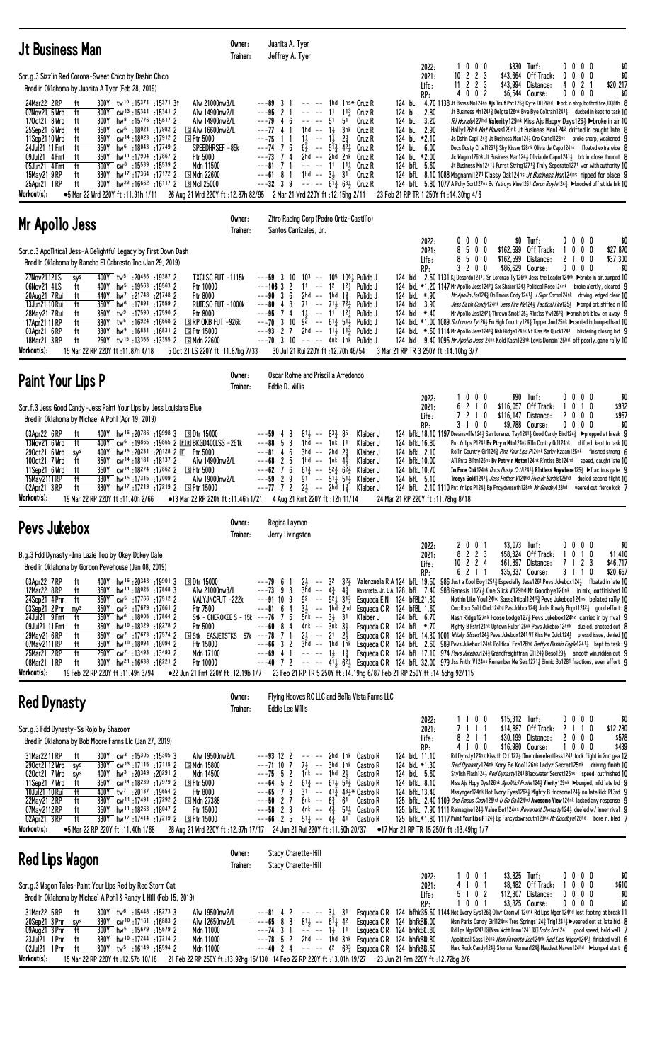| <b>Jt Business Man</b>                                                                                                                                                                                                                                                                                                                                                                                                                                                                                                                                                                                                                                                                                                                                                                                                                                                                                                                                                    | Owner:<br>Trainer:                                                               | Juanita A. Tyer<br>Jeffrey A. Tyer                                                                                                                                                                                                                                                                                                                                                                                                                                                                                                                                                                                                                                                                                                                                         |                                                                                                                                                                                                                                                                         |                                                                                                                                                                    |                                                                                |                                                                                                                                                                                                                                                                                                                                                                                                                                                                                                                                                                                                                                                                                                                                                                                                                                                                                                                                                                                                                                                                                                                                                                                                                                                                 |                                                                                                      |
|---------------------------------------------------------------------------------------------------------------------------------------------------------------------------------------------------------------------------------------------------------------------------------------------------------------------------------------------------------------------------------------------------------------------------------------------------------------------------------------------------------------------------------------------------------------------------------------------------------------------------------------------------------------------------------------------------------------------------------------------------------------------------------------------------------------------------------------------------------------------------------------------------------------------------------------------------------------------------|----------------------------------------------------------------------------------|----------------------------------------------------------------------------------------------------------------------------------------------------------------------------------------------------------------------------------------------------------------------------------------------------------------------------------------------------------------------------------------------------------------------------------------------------------------------------------------------------------------------------------------------------------------------------------------------------------------------------------------------------------------------------------------------------------------------------------------------------------------------------|-------------------------------------------------------------------------------------------------------------------------------------------------------------------------------------------------------------------------------------------------------------------------|--------------------------------------------------------------------------------------------------------------------------------------------------------------------|--------------------------------------------------------------------------------|-----------------------------------------------------------------------------------------------------------------------------------------------------------------------------------------------------------------------------------------------------------------------------------------------------------------------------------------------------------------------------------------------------------------------------------------------------------------------------------------------------------------------------------------------------------------------------------------------------------------------------------------------------------------------------------------------------------------------------------------------------------------------------------------------------------------------------------------------------------------------------------------------------------------------------------------------------------------------------------------------------------------------------------------------------------------------------------------------------------------------------------------------------------------------------------------------------------------------------------------------------------------|------------------------------------------------------------------------------------------------------|
| Sor.g.3 Sizzlin Red Corona-Sweet Chico by Dashin Chico<br>Bred in Oklahoma by Juanita A Tyer (Feb 28, 2019)                                                                                                                                                                                                                                                                                                                                                                                                                                                                                                                                                                                                                                                                                                                                                                                                                                                               |                                                                                  |                                                                                                                                                                                                                                                                                                                                                                                                                                                                                                                                                                                                                                                                                                                                                                            |                                                                                                                                                                                                                                                                         | 2022:<br>2021:<br>Life:<br>RP:                                                                                                                                     | 1000<br>$10 \t2 \t2 \t3$<br>$11$ 2 2 3<br>4002                                 | \$330 Turf:<br>\$43,664 Off Track:<br>\$43,994<br>Distance:<br>\$6,544 Course:                                                                                                                                                                                                                                                                                                                                                                                                                                                                                                                                                                                                                                                                                                                                                                                                                                                                                                                                                                                                                                                                                                                                                                                  | \$0<br>0000<br>$0\ 0\ 0\ 0$<br>\$0<br>4021<br>\$20,217<br>0000<br>\$0                                |
| 24Mar22 2RP<br>300Y tw <sup>10</sup> :15371:1537131<br>Alw 21000nw3/L<br>ft<br>ft<br>300Y cw <sup>13</sup> :15341:15341 2<br>07Nov21 5 Wrd<br>Alw 14900nw2/L<br>170ct21 8 Wrd<br>300Y<br>hw <sup>8</sup> :15 <sup>776</sup> :15 <sup>617</sup> 2<br>Alw 14900nw2/L<br>ft<br>350Y cw <sup>6</sup> :18021 :17982 2<br>25Sep21 6 Wrd<br>ft<br>$\boxdot$ Alw 16600nw2/L<br>cw <sup>14</sup> :18023:179122<br><b>SFtr 5000</b><br>11 Sep 21 10 Wrd<br>350Y<br>ft<br>24Jul21 11 Fmt<br>ft<br>350Y hw <sup>6</sup> :18043 :17749 2<br>SPEEDHRSEF-85k<br>hw <sup>11</sup> :17904:17867 2<br>09Jul21 4 Fmt<br>ft<br>350Y<br><b>Ftr 5000</b><br>ft<br>$300Y$ cw <sup>8</sup> :15539 :15539 2<br>Mdn 11500<br>05Jun21 4 Fmt<br>15May21 9RP<br>ft<br>330Y hw <sup>17</sup> :17364 :17172 2<br>S Mdn 22600<br>25Apr21 1RP<br>ft<br>$300Y$ hw <sup>22</sup> :16 <sup>662</sup> :16117 2<br>SMc1 25000<br>Workout(s):<br>•5 Mar 22 Wrd 220Y ft: 11.91h 1/11                              |                                                                                  | $---89$ 3<br>$---95$ 2 1<br>$\hspace{1.5cm} \hspace{1.5cm} \hspace{1.5cm} \hspace{1.5cm} \hspace{1.5cm} \hspace{1.5cm} \hspace{1.5cm} \hspace{1.5cm} \hspace{1.5cm} \hspace{1.5cm} \hspace{1.5cm} \hspace{1.5cm} \hspace{1.5cm} \hspace{1.5cm} \hspace{1.5cm} \hspace{1.5cm} \hspace{1.5cm} \hspace{1.5cm} \hspace{1.5cm} \hspace{1.5cm} \hspace{1.5cm} \hspace{1.5cm} \hspace{1.5cm} \hspace{1.5cm} \hspace{$<br>$---79$ 4<br>$---77$ 4 1<br>$1hd - - 1\frac{1}{2}$<br>$1\frac{1}{2}$ -- $1\frac{1}{2}$<br>---75<br>1 1<br>$--74$ 7 6<br>$6\frac{3}{4}$ -- $5\frac{13}{4}$ $4\frac{21}{4}$<br>$---73$ 74<br>$2hd$ -- $2hd$<br>$---81$ 7 1<br>$--- 11$<br>$---61$ 8 1<br>$---32 \quad 3 \quad 9$<br>26 Aug 21 Wrd 220Y ft: 12.87h 82/95 2 Mar 21 Wrd 220Y ft: 12.15hg 2/11 | -- -- 1hd 1ns* Cruz R<br>11<br>$11\frac{3}{7}$ Cruz R<br>51<br>51<br>Cruz R<br>3nk Cruz R<br>$2\frac{3}{4}$<br>Cruz R<br>Cruz R<br>2 <sup>nk</sup> Cruz R<br>$11\frac{1}{2}$ Cruz R<br>1hd $-$ 31 31 Cruz R<br>$   6\overline{1}$ $\frac{3}{4}$ $63\overline{1}$ Cruz R | 124 bL<br>124 bL<br>2.80<br>124 bL<br>3.20<br>124 bL 2.90<br>124 bL *2.10<br>124 bL 6.00<br>124 bL *2.00<br>124 bfL 5.60<br>23 Feb 21 RP TR 1 250Y ft: 14.30hg 4/6 |                                                                                | 4.70 1138 Jt Bsnss Mn124ns Ais Trs f Pnt126 $\frac{3}{2}$ Cyte D1126hd $\;\blacktriangleright$ brk in shrp, bothrd foe, DQ8th $\;$ 8<br>Jt Business Mn1241 <sup>3</sup> Delgte126nk Bye Bye Coltrain1241 <sup>1</sup> ducked in kept to task 10<br>RI Hondo127hd Valerity 129nk Miss Ajs Happy Days1263 > broke in air 10<br>Hally 126hd <i>Hot House</i> 129hk Jt Business Man 1242 drifted in caught late 8<br>Js Dshin Capi1243 Jt Business Man1243 Oro Carte1128nk broke sharp, weakened 9<br>Docs Dusty Crte112613 Shy Kisser128nk Olivia de Capo124nk floated extra wide 8<br>Jc Wagon126nk Jt Business Man1243 Olivia de Capo12413 brk in, close thruout 8<br>Jt Business Mn12411 Furrst String12713 Truly Seperate1271 won with authority 10<br>124 bfl 8.10 1088 Magnanni1271 Klassy Oak124ns Jt Business Man124ns nipped for place 9<br>124 bfL 5.80 1077 A Pchy Scrt127ns Bv Ystrdys Wine1261 Caran Roy le124 <sub>4</sub> ► knocked off stride brk 10                                                                                                                                                                                                                                                                                               |                                                                                                      |
| Mr Apollo Jess                                                                                                                                                                                                                                                                                                                                                                                                                                                                                                                                                                                                                                                                                                                                                                                                                                                                                                                                                            | Owner:<br>Trainer:                                                               | Zitro Racing Corp (Pedro Ortiz-Castillo)<br>Santos Carrizales, Jr.                                                                                                                                                                                                                                                                                                                                                                                                                                                                                                                                                                                                                                                                                                         |                                                                                                                                                                                                                                                                         |                                                                                                                                                                    |                                                                                |                                                                                                                                                                                                                                                                                                                                                                                                                                                                                                                                                                                                                                                                                                                                                                                                                                                                                                                                                                                                                                                                                                                                                                                                                                                                 |                                                                                                      |
| Sor.c.3 Apollitical Jess-A Delightful Legacy by First Down Dash<br>Bred in Oklahoma by Rancho El Cabresto Inc (Jan 29, 2019)<br>400Y tw <sup>5</sup> :20436 :19387 2<br>27Nov2112LS<br>TXCLSC FUT -1115k<br>sys<br>06Nov21 4LS<br>400Y hw <sup>5</sup> :19563 :19563 2<br>Ftr 10000<br>ft<br>ft<br>440Y hw <sup>7</sup> :21748 :21748 2<br>20Aug21 7 Rui<br><b>Ftr 8000</b><br>13Jun21 10 Rui<br>ft<br>350Y hw <sup>6</sup> :17891 :17559 2<br>RUIDSO FUT -1000k<br>28May 21 7 Rui<br>350Y<br>:17590 :17590 2<br>ft<br>tw°<br><b>Ftr 8000</b><br>17Apr21 11 RP<br>ft<br>330Y tw <sup>5</sup><br>:16924 :16668 2<br>SRP OKB FUT -926k<br>03Apr21 6RP<br>ft<br>$330Y$ hw <sup>9</sup> :16831 :16831 2<br>S Ftr 15000<br>18Mar21 3RP<br>ft<br>250Y tw <sup>15</sup> :13 <sup>355</sup> :13 <sup>355</sup> 2<br>S Mdn 22600<br>Workout(s):<br>15 Mar 22 RP 220Y ft: 11.87h 4/18<br>5 Oct 21 LS 220Y ft : 11.87bg 7/33                                                         |                                                                                  | $---59$ 3 10<br>$---10632$<br>6<br>2hd -- 1hd $1\frac{3}{4}$<br>$---903$<br>$---80$ 4 8<br>74<br>$1\frac{1}{2}$ -- $1\frac{1}{2}$ $12\frac{1}{4}$<br>---95<br>$---70$ 3 10<br>$---93$ 2 7 2hd $---11\frac{1}{2}$ 11 $\frac{3}{2}$ Pulido J<br>$---70$ 3 10 $---$ 4nk 1nk Pulido J<br>30 Jul 21 Rui 220Y ft : 12.70h 46/54                                                                                                                                                                                                                                                                                                                                                                                                                                                  | 103 -- 105 1061 Pulido J<br>$11 - - 12$ $12\frac{1}{2}$ Pulido J<br>Pulido J<br>71 -- 713 721 Pulido J<br>Pulido J<br>$9^2$ -- $6^{13}$ 5 <sup>1</sup> Pulido J                                                                                                         | 2022:<br>2021:<br>Life:<br>RP:<br>124 bkL *.90<br>124 bkL 3.90<br>124 bkL *.40<br>3 Mar 21 RP TR 3 250Y ft : 14.10hg 3/7                                           | 0000<br>8500<br>500<br>8<br>3200                                               | $$0$ Turf:<br>\$162,599 Off Track:<br>\$162,599 Distance:<br>\$86,629 Course:<br>124 bkl 2.50 1131 Kj Desprdo1241 <sup>1</sup> Sn Lorenzo Ty126nk Jess the Leader124nk >broke in air, bumped 10<br>124 bkl *1, 20 1147 Mr Apollo Jess1242 Six Shaker124 > Political Rose124nk broke alertly, cleared 9<br>Mr Apollo Jss1243 On Fmous Cndy 12413 J Supr Coron124nk driving, edged clear 10<br>Jess Savin Candy124nk Jess Fire Me124} Tactical Fire125} > bmpd brk, shifted in 10<br>Mr Apollo Jss1242 $\frac{1}{4}$ Thrown Smok125 $\frac{1}{2}$ Rlntlss Vw1261 $\frac{3}{4}$ $\blacktriangleright$ brush brk, blew em away 9<br>124 bkL *1.00 1089 <i>Sn Lornzo Ty</i> 126} Em High Country 124½ Trpper Jon125nk ▶carried in, bumped hard 10<br>124 bkL *.60 1114 Mr Apollo Jess12413 Nsh Ridge124nk Vf Kiss Me Quick1241 blistering closing bid 9<br>124 bkl 9.40 1095 Mr Apollo Jess124nk Kold Kash128nk Levis Domain125hd off poorly, game rally 10                                                                                                                                                                                                                                                                                                          | 0000<br>\$0<br>$0\quad 0\quad 0$<br>\$27,870<br>2 1 0 0<br>\$37,300<br>$0\,0\,0\,0$<br>\$0           |
| Paint Your Lips P                                                                                                                                                                                                                                                                                                                                                                                                                                                                                                                                                                                                                                                                                                                                                                                                                                                                                                                                                         | Owner:<br>Trainer:                                                               | Oscar Rohne and Priscilla Arredondo<br>Eddie D. Willis                                                                                                                                                                                                                                                                                                                                                                                                                                                                                                                                                                                                                                                                                                                     |                                                                                                                                                                                                                                                                         |                                                                                                                                                                    |                                                                                |                                                                                                                                                                                                                                                                                                                                                                                                                                                                                                                                                                                                                                                                                                                                                                                                                                                                                                                                                                                                                                                                                                                                                                                                                                                                 |                                                                                                      |
| Sor.f.3 Jess Good Candy-Jess Paint Your Lips by Jess Louisiana Blue<br>Bred in Oklahoma by Michael A Pohl (Apr 19, 2019)<br>400Y hw <sup>16</sup> :20786:199983<br>03Apr22 6RP<br>ft<br><b>SDtr 15000</b><br>13Nov21 6 Wrd<br>ft<br>400Y cw <sup>6</sup> :19 <sup>865</sup> :19 <sup>865</sup> 2 EIR BKGD400LSS-261k<br>290ct21 6 Wrd<br>400Y hw <sup>15</sup> :20 <sup>231</sup><br>$: 20^{128}$ 2 $\boxdot$ Ftr 5000<br>sys<br>350Y cw <sup>14</sup> :18181 :18137 2<br>100ct21 7 Wrd<br>Alw 14900nw2/L<br>ft<br>350Y cw <sup>14</sup> :18 <sup>274</sup> :17862 2<br>11Sep21 6 Wrd<br>ft<br>⑤ Ftr 5000<br>330Y hw <sup>15</sup> :17315:17009 2<br>15May 2111 RP<br>ft<br>Alw 19000nw2/L<br>02Apr21 3RP<br>ft<br>330Y hw <sup>17</sup> :17 <sup>219</sup> :17 <sup>219</sup> 2<br><b>SFtr 15000</b><br>Workout(s):<br>19 Mar 22 RP 220Y ft: 11.40h 2/66                                                                                                                 |                                                                                  | $81\frac{1}{2}$ -- $83\frac{3}{4}$ 85<br>$---59$ 4 8<br>3<br>---88<br>- 5<br>1hd -- 1nk 11<br>---81 4<br>6<br>3hd -- 2hd $2\frac{3}{4}$<br>$---68$ 2 5<br>1hd -- 1nk $4\frac{1}{2}$<br>$---62$ 7 6<br>$6^{13}$ -- $5^{23}$ $6^{23}$<br>$---59$ 2 9<br>$---77$ 7 2 2 $--$ 2hd 1 $\frac{3}{4}$<br>•13 Mar 22 RP 220Y ft: 11.46h 1/21 4 Aug 21 Rmt 220Y ft: 12h 11/14                                                                                                                                                                                                                                                                                                                                                                                                         | Klaiber J<br>Klaiber J<br>Klaiber J<br>Klaiber J<br>Klaiber J<br>91 -- $5^{11}$ , $5^{11}$ , Klaiber J<br>Klaiber J                                                                                                                                                     | 2022:<br>2021:<br>Life:<br>RP:<br>124 bfkL 16.80<br>124 bfkL 2.10<br>124 bfkL 10.00<br>124 bfkL 10.70<br>124 bfL 5.10<br>24 Mar 21 RP 220Y ft: 11.78hg 8/18        | 1000<br>6 2 1 0<br>7 2 1 0<br>3100                                             | \$90 Turf:<br>\$116,057 Off Track:<br>\$116,147 Distance:<br>\$9,788 Course:<br>124 bfkL 18.10 1197 Dreamsville124½ San Lorenzo Tay1241½ Good Candy Bird124½ ▶propped at break 9<br>Pnt Yr Lps P1241 Bv Ptry n Mtn124nk R1In Contry Gr1124nk drifted, kept to task 10<br>Rollin Country Girl1243 <i>Pint Your Lips P</i> 124nk Sprky Kzaam125nk finished strong 6<br>All Pntz Blltn126ns Bv Potry n Moton124nk Rintlss Bb124hd speed, caught late 10<br>Im Fnce Chik124nk <i>Docs Dusty Crti</i> 12413 RIntless Anywhere1253 ▶fractious gate 9<br>Trceys Gold 1241 <sub>4</sub> Jess Pnther V124hd Five Br Barbie125hd dueled second flight 10<br>124 bfL 2.10 1110 Pnt Yr Lps P124 <sup>3</sup> Bp Fncydwnsoth128nk Mr Goodby128hd                                                                                                                                                                                                                                                                                                                                                                                                                                                                                                                             | 0000<br>\$0<br>$0$ 1 0<br>\$982<br>2000<br>\$957<br>$0\,0\,0\,0$<br>\$0<br>veered out, fierce kick 7 |
| Pevs Jukebox                                                                                                                                                                                                                                                                                                                                                                                                                                                                                                                                                                                                                                                                                                                                                                                                                                                                                                                                                              | Owner:<br>Trainer:                                                               | Regina Laymon<br>Jerry Livingston                                                                                                                                                                                                                                                                                                                                                                                                                                                                                                                                                                                                                                                                                                                                          |                                                                                                                                                                                                                                                                         |                                                                                                                                                                    |                                                                                |                                                                                                                                                                                                                                                                                                                                                                                                                                                                                                                                                                                                                                                                                                                                                                                                                                                                                                                                                                                                                                                                                                                                                                                                                                                                 |                                                                                                      |
| B.g.3 Fdd Dynasty-Ima Lazie Too by Okey Dokey Dale<br>Bred in Oklahoma by Gordon Pevehouse (Jan 08, 2019)<br>400Y hw <sup>16</sup> :20343:199013<br>ft<br><b>SDtr 15000</b><br>03Apr22 7RP<br>12Mar22 8RP<br>ft<br>350Y hw <sup>11</sup> :18025 :17868 3<br>Alw 21000nw3/L<br>24Sep21 4Prm<br>ft<br>350Y cw <sup>5</sup> :17766 :17512 2<br>VALYJNCFUT -222k<br>350Y cw <sup>5</sup> :17679 :17661 2<br>03Sep21 2Prm<br>mys<br>Ftr 7500<br>24Jul21 9 Fmt<br>ft<br>350Y hw <sup>6</sup> :18005 :17864 2<br>350Y hw <sup>10</sup> :18329:18278 2<br>09Jul21 11 Fmt<br>ft<br>Ftr 5000<br>ft<br>350Y cw <sup>7</sup> :17673 :17574 2<br>29May21 6RP<br>07May 2111 RP<br>350Y hw <sup>10</sup> :18094:180942<br>Ftr 15000<br>ft<br>ft<br>25Mar21 2RP<br>250Y cw <sup>7</sup> :13493 :13493 2<br>Mdn 17100<br>300Y hw <sup>21</sup> :16638 :16221 2<br>08Mar21 1RP<br>ft<br>Ftr 10000<br>Workout(s):<br>●22 Jun 21 Fmt 220Y ft :12.19b 1/7<br>19 Feb 22 RP 220Y ft: 11.49h 3/94 | Stk - CHEROKEE S - 15k ---76 7 5<br>$S$ Stk - EASJETSTKS - 57k --- <b>78</b> 7 1 | $---79$ 6 1<br>$3\bar{h}d$ -- $4\frac{3}{4}$ $4\frac{3}{4}$<br>$---73$ 9 3<br>$---91109$<br>$---81$ 6 4<br>$3\frac{1}{2}$ -- 1hd 2hd<br>$5nk$ -- $3\frac{1}{2}$ 31<br>$4nk$ -- $3nk$ $3\frac{1}{2}$<br>$---60$ 8 4<br>$2\frac{1}{2}$ -- $2^1$ $2\frac{1}{2}$<br>$---66$ 3 2                                                                                                                                                                                                                                                                                                                                                                                                                                                                                                | 92 -- $9^2$ , $3^{13}$ Esqueda E N 124 bfBL21.30<br>Klaiber J<br>Esqueda C R<br>Esqueda C R<br>23 Feb 21 RP TR 5 250Y ft : 14.19hg 6/87 Feb 21 RP 250Y ft : 14.55hg 92/115                                                                                              | 2022:<br>2021:<br>Life:<br>RP:<br>Esqueda C R 124 bfBL 1.60<br>124 bfL 6.70<br>124 bfL *.70                                                                        | 2001<br>8 2 2 3<br>$10 \t2 \t2 \t4$<br>6 2 1 1                                 | \$3,073 Turf:<br>\$58,324 Off Track:<br>\$61,397<br>Distance:<br>7<br>\$35,337 Course:<br>$2\frac{1}{2}$ - 32 32 $\frac{3}{4}$ Valenzuela R A 124 bfl. 19.50 986 Just a Kool Boy1251 $\frac{3}{4}$ Especially Jess1261 Pevs Jukebox124 $\frac{1}{2}$ floated in late 10<br>Navarrete, Jr. E A 128 bfl. 7.40 988 Genesis 1127 $\frac{1}{2}$ One Slick V129hd Mr Goodbye126nk in mix, outfinished 10<br>Nothin Like You124hd Sassalitical12413 Pevs Jukebox124ns belated rally 10<br>Cmc Rock Sold Chck124hd Pvs Jukbox124 $\frac{3}{4}$ Jodis Rowdy Bogrt1242 $\frac{1}{4}$ good effort 8<br>Nash Ridge127nk Foose Lodge1273 Pevs Jukebox124hd carried in by rival 9<br>Mighty B Fstr124nk Uptown Ruler125nk Pevs Jukebox124nk dueled, photoed out 8<br>124 bfL 14.30 1001 Whizky Glsses124½ Pevs Jukebox1241 Vf Kiss Me Quick124½ pressd issue, denied 10<br>3hd -- 1hd 1nk Esqueda CR 124 bfl 2.60 989 Pevs Jukebox124nk Political Fire126hd Bettys Dashin Eagle12414 kept to task 9<br>---69 4 1 -- -- 13 13 Esqueda CR 124 bfl 17.10 974 Pevs Jukebox1243 Grandfreighttrain G11243 Beso1293 smooth win,ridden out 9<br>$---40$ 7 2 $---413$ 623 Esqueda C R 124 bfl. 32.00 979 Jss Pnthr V124ns Remember Me Seis12713 Bionic Bo1281 fractious, even effort 9 | \$0<br>0000<br>0<br>10<br>\$1,410<br>$\mathbf{2}$<br>\$46,717<br>-3<br>\$20,657<br>311<br>0          |
| <b>Red Dynasty</b>                                                                                                                                                                                                                                                                                                                                                                                                                                                                                                                                                                                                                                                                                                                                                                                                                                                                                                                                                        | Owner:<br>Trainer:                                                               | Flying Hooves RC LLC and Bella Vista Farms LLC<br>Eddie Lee Willis                                                                                                                                                                                                                                                                                                                                                                                                                                                                                                                                                                                                                                                                                                         |                                                                                                                                                                                                                                                                         |                                                                                                                                                                    |                                                                                |                                                                                                                                                                                                                                                                                                                                                                                                                                                                                                                                                                                                                                                                                                                                                                                                                                                                                                                                                                                                                                                                                                                                                                                                                                                                 |                                                                                                      |
| Sor.g.3 Fdd Dynasty-Ss Rojo by Shazoom<br>Bred in Oklahoma by Bob Moore Farms L1c (Jan 27, 2019)<br>300Y cw <sup>3</sup> :15305 :15305 3<br>Alw 19500nw2/L<br>31Mar 22 11 RP<br>ft<br>290ct21 12 Wrd<br>$330Y$ cw <sup>13</sup> :17115 :17115 2<br><b>SMdn 15800</b><br>sys<br>020ct21 7 Wrd<br>400Y $hw^3$ :20349<br>:20291 2<br>Mdn 14500<br>sys<br>11Sep21 7 Wrd<br>350Y cw <sup>14</sup> :18 <sup>239</sup> :17979 2<br><b>SFtr 5000</b><br>ft<br>ft<br>10Jul21 10 Rui<br>19654 2.20137 19654<br>Ftr 8000<br>22May21 2RP<br>ft<br>330Y cw <sup>11</sup> :17491 :17292 2<br>S Mdn 27388<br>07May 2112 RP<br>ft<br>350Y hw <sup>11</sup> :18263 :18047 2<br>Ftr 15000<br>ft<br>330Y hw <sup>17</sup> :17414 :17219 2<br>$02$ Apr $2\overline{1}$ 3 RP<br>ි Ftr 15000<br>Workout(s):<br>●5 Mar 22 RP 220Y ft:11.40h 1/68                                                                                                                                                 |                                                                                  | $---93$ 12 2<br>$---71$ 10 7<br>$7\frac{1}{2}$ --<br>$---75$ 5 2 1nk $---$ 1hd 2 <sup>1</sup> / <sub>2</sub><br>$---64$ 5 2 $61\frac{3}{4}$ $---61\frac{1}{2}$ $51\frac{3}{4}$ Castro R<br>$---65$ 7 3<br>$---50$ 2 7<br>6nk -- $6\frac{3}{4}$ 61<br>$--58$ 2 3<br>4nk -- 43<br>$5^{11}$ -- $4^{3}$ $4^{1}$<br>$---66$ 2 5<br>28 Aug 21 Wrd 220Y ft : 12.97h 17/17 24 Jun 21 Rui 220Y ft : 11.50h 20/37                                                                                                                                                                                                                                                                                                                                                                    | -- -- 2hd 1nk Castro R<br>3hd 1nk Castro R<br>Castro R<br>$31$ -- $41\frac{3}{4}$ $43\frac{1}{4}$ Castro R<br>Castro R<br>514 Castro R<br>Castro R                                                                                                                      | 2022:<br>2021:<br>Life:<br>RP:<br>124 bkL 11.10<br>124 bkL *1.30<br>124 bkL 5.60<br>124 bfkL 8.10<br>124 bfkL 13.40                                                | 1100<br>7111<br>8 2 1 1<br>4 1 0 0<br>•17 Mar 21 RP TR 15 250Y ft :13.49hg 1/7 | $$15,312$ Turf:<br>$$14,887$ Off Track:<br>\$30,199 Distance:<br>\$16,980 Course:<br>Rd Dynsty124nk Kiss th Crt11273 Dinetoberelentless1241 took flight in 2nd gea 12<br>Red Dynasty124nk Kory Be Kool126nk Ladyz Secret125nk driving finish 10<br>Stylish Flash124 <sub>2</sub> Red Dynasty1241 Blackwater Secret126ns speed, outfinished 10<br>Miss Ajs Hppy Dys126nk Apoliticl Prmier1243 Vlerity129nk >bumped, mild late bid 9<br>Mssynger124nk Hot Ivory Eyes12623 Mighty B Hndsome1243 no late kick, PL3rd 9<br>125 bfkl 2.40 1109 One Fmous Cndy125hd U Go Gan24hd Awesome View124nk lacked any response 9<br>125 bfkl 7.90 1111 Reimagine1243 Value Bet124ns Revenant Dynasty1243 dueled w/ inner rival 9<br>125 bfkl *1.80 1117 Paint Your Lips P1243 Bp Fancydownsouth128nk Mr Goodbye128hd bore in, bled 7                                                                                                                                                                                                                                                                                                                                                                                                                                           | \$0<br>0000<br>2 1 1 0<br>\$12,280<br>2000<br>\$578<br>1000<br>\$439                                 |
| <b>Red Lips Wagon</b>                                                                                                                                                                                                                                                                                                                                                                                                                                                                                                                                                                                                                                                                                                                                                                                                                                                                                                                                                     | Owner:<br>Trainer:                                                               | Stacy Charette-Hill<br>Stacy Charette-Hill                                                                                                                                                                                                                                                                                                                                                                                                                                                                                                                                                                                                                                                                                                                                 |                                                                                                                                                                                                                                                                         |                                                                                                                                                                    |                                                                                |                                                                                                                                                                                                                                                                                                                                                                                                                                                                                                                                                                                                                                                                                                                                                                                                                                                                                                                                                                                                                                                                                                                                                                                                                                                                 |                                                                                                      |
| Sor.g.3 Wagon Tales-Paint Your Lips Red by Red Storm Cat<br>Bred in Oklahoma by Michael A Pohl & Randy L Hill (Feb 15, 2019)<br>31Mar22 5 RP<br>ft<br>300Y tw <sup>6</sup> :15448 :15273 3<br>Alw 19500nw2/L                                                                                                                                                                                                                                                                                                                                                                                                                                                                                                                                                                                                                                                                                                                                                              |                                                                                  | $--- 3\frac{1}{2}$ 31<br>$---81 4 2$                                                                                                                                                                                                                                                                                                                                                                                                                                                                                                                                                                                                                                                                                                                                       |                                                                                                                                                                                                                                                                         | 2022:<br>2021:<br>Life:<br>RP:                                                                                                                                     | 1001<br>4 1 0 1<br>5 1 0 2<br>1 0 0 1                                          | \$3,825 Turf:<br>\$8,482<br>Off Track:<br>\$12,307<br>Distance:<br>\$3,825 Course:<br>Esqueda C R 124 bfhkB5.60 1144 Hot Ivory Eys1263 Olivr Cromw11124nk Rd Lips Wgon124hd lost footing at break 11                                                                                                                                                                                                                                                                                                                                                                                                                                                                                                                                                                                                                                                                                                                                                                                                                                                                                                                                                                                                                                                            | 0000<br>\$0<br>1000<br>\$610<br>$0\ 0\ 0\ 0$<br>\$0<br>$0\ 0\ 0\ 0$<br>\$0                           |